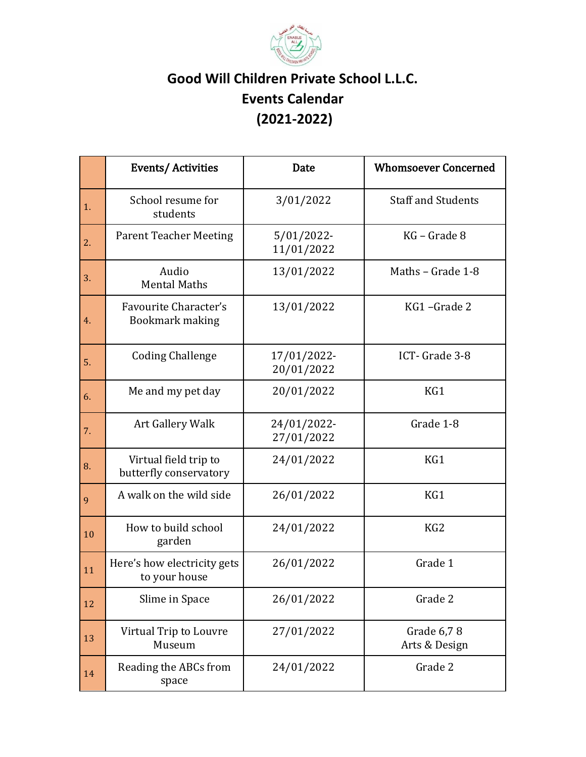

## **Good Will Children Private School L.L.C. Events Calendar (2021-2022)**

|    | <b>Events/Activities</b>                        | Date                        | <b>Whomsoever Concerned</b> |
|----|-------------------------------------------------|-----------------------------|-----------------------------|
| 1. | School resume for<br>students                   | 3/01/2022                   | <b>Staff and Students</b>   |
| 2. | <b>Parent Teacher Meeting</b>                   | $5/01/2022$ -<br>11/01/2022 | KG - Grade 8                |
| 3. | Audio<br><b>Mental Maths</b>                    | 13/01/2022                  | Maths - Grade 1-8           |
| 4. | Favourite Character's<br>Bookmark making        | 13/01/2022                  | KG1-Grade 2                 |
| 5. | <b>Coding Challenge</b>                         | 17/01/2022-<br>20/01/2022   | ICT-Grade 3-8               |
| 6. | Me and my pet day                               | 20/01/2022                  | KG1                         |
| 7. | Art Gallery Walk                                | 24/01/2022-<br>27/01/2022   | Grade 1-8                   |
| 8. | Virtual field trip to<br>butterfly conservatory | 24/01/2022                  | KG1                         |
| 9  | A walk on the wild side                         | 26/01/2022                  | KG1                         |
| 10 | How to build school<br>garden                   | 24/01/2022                  | KG <sub>2</sub>             |
| 11 | Here's how electricity gets<br>to your house    | 26/01/2022                  | Grade 1                     |
| 12 | Slime in Space                                  | 26/01/2022                  | Grade 2                     |
| 13 | Virtual Trip to Louvre<br>Museum                | 27/01/2022                  | Grade 6,78<br>Arts & Design |
| 14 | Reading the ABCs from<br>space                  | 24/01/2022                  | Grade 2                     |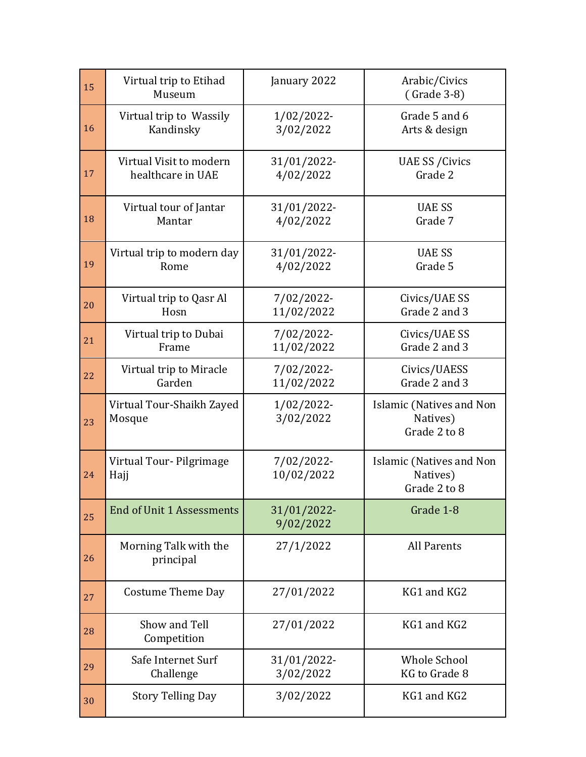| 15 | Virtual trip to Etihad<br>Museum    | January 2022             | Arabic/Civics<br>(Grade 3-8)                         |
|----|-------------------------------------|--------------------------|------------------------------------------------------|
| 16 | Virtual trip to Wassily             | 1/02/2022-               | Grade 5 and 6                                        |
|    | Kandinsky                           | 3/02/2022                | Arts & design                                        |
| 17 | Virtual Visit to modern             | 31/01/2022-              | <b>UAE SS / Civics</b>                               |
|    | healthcare in UAE                   | 4/02/2022                | Grade 2                                              |
| 18 | Virtual tour of Jantar              | 31/01/2022-              | <b>UAE SS</b>                                        |
|    | Mantar                              | 4/02/2022                | Grade 7                                              |
| 19 | Virtual trip to modern day          | 31/01/2022-              | <b>UAE SS</b>                                        |
|    | Rome                                | 4/02/2022                | Grade 5                                              |
| 20 | Virtual trip to Qasr Al             | 7/02/2022-               | Civics/UAE SS                                        |
|    | Hosn                                | 11/02/2022               | Grade 2 and 3                                        |
| 21 | Virtual trip to Dubai               | 7/02/2022-               | Civics/UAE SS                                        |
|    | Frame                               | 11/02/2022               | Grade 2 and 3                                        |
| 22 | Virtual trip to Miracle             | 7/02/2022-               | Civics/UAESS                                         |
|    | Garden                              | 11/02/2022               | Grade 2 and 3                                        |
|    |                                     |                          |                                                      |
| 23 | Virtual Tour-Shaikh Zayed<br>Mosque | 1/02/2022-<br>3/02/2022  | Islamic (Natives and Non<br>Natives)<br>Grade 2 to 8 |
| 24 | Virtual Tour-Pilgrimage<br>Hajj     | 7/02/2022-<br>10/02/2022 | Islamic (Natives and Non<br>Natives)<br>Grade 2 to 8 |
| 25 | <b>End of Unit 1 Assessments</b>    | 31/01/2022-<br>9/02/2022 | Grade 1-8                                            |
| 26 | Morning Talk with the<br>principal  | 27/1/2022                | <b>All Parents</b>                                   |
| 27 | <b>Costume Theme Day</b>            | 27/01/2022               | KG1 and KG2                                          |
| 28 | Show and Tell<br>Competition        | 27/01/2022               | KG1 and KG2                                          |
| 29 | Safe Internet Surf                  | 31/01/2022-              | <b>Whole School</b>                                  |
|    | Challenge                           | 3/02/2022                | KG to Grade 8                                        |